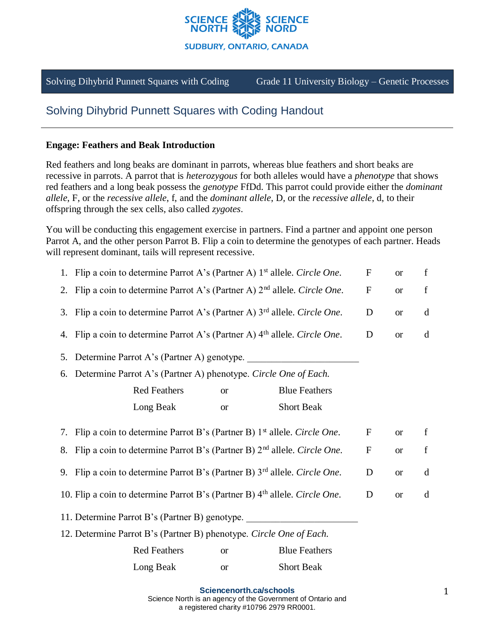

Solving Dihybrid Punnett Squares with Coding Grade 11 University Biology – Genetic Processes

# Solving Dihybrid Punnett Squares with Coding Handout

#### **Engage: Feathers and Beak Introduction**

Red feathers and long beaks are dominant in parrots, whereas blue feathers and short beaks are recessive in parrots. A parrot that is *heterozygous* for both alleles would have a *phenotype* that shows red feathers and a long beak possess the *genotype* FfDd. This parrot could provide either the *dominant allele*, F, or the *recessive allele*, f, and the *dominant allele*, D, or the *recessive allele*, d, to their offspring through the sex cells, also called *zygotes*.

You will be conducting this engagement exercise in partners. Find a partner and appoint one person Parrot A, and the other person Parrot B. Flip a coin to determine the genotypes of each partner. Heads will represent dominant, tails will represent recessive.

|                                                                                                           | 1. Flip a coin to determine Parrot A's (Partner A) 1 <sup>st</sup> allele. Circle One.<br>${\bf F}$<br>$\mathbf f$<br><b>or</b> |                  |             |             |  |  |
|-----------------------------------------------------------------------------------------------------------|---------------------------------------------------------------------------------------------------------------------------------|------------------|-------------|-------------|--|--|
| 2.                                                                                                        | Flip a coin to determine Parrot A's (Partner A) 2 <sup>nd</sup> allele. Circle One.                                             | $\boldsymbol{F}$ | <b>or</b>   | f           |  |  |
| 3.                                                                                                        | Flip a coin to determine Parrot A's (Partner A) 3 <sup>rd</sup> allele. Circle One.<br>D<br><b>or</b>                           |                  |             |             |  |  |
| 4.                                                                                                        | Flip a coin to determine Parrot A's (Partner A) 4 <sup>th</sup> allele. Circle One.                                             | D                | <b>or</b>   | d           |  |  |
| 5.                                                                                                        | Determine Parrot A's (Partner A) genotype.                                                                                      |                  |             |             |  |  |
| 6.                                                                                                        | Determine Parrot A's (Partner A) phenotype. Circle One of Each.                                                                 |                  |             |             |  |  |
|                                                                                                           | <b>Red Feathers</b><br><b>Blue Feathers</b><br><b>or</b>                                                                        |                  |             |             |  |  |
|                                                                                                           | Long Beak<br><b>Short Beak</b><br><b>or</b>                                                                                     |                  |             |             |  |  |
| 7.                                                                                                        | Flip a coin to determine Parrot B's (Partner B) 1 <sup>st</sup> allele. Circle One.                                             | $\mathbf F$      | <b>or</b>   | $\mathbf f$ |  |  |
| 8.                                                                                                        | Flip a coin to determine Parrot B's (Partner B) 2 <sup>nd</sup> allele. Circle One.                                             | $\boldsymbol{F}$ | <b>or</b>   | $\mathbf f$ |  |  |
| 9. Flip a coin to determine Parrot B's (Partner B) 3 <sup>rd</sup> allele. Circle One.<br>D<br><b>or</b>  |                                                                                                                                 |                  |             |             |  |  |
| 10. Flip a coin to determine Parrot B's (Partner B) 4 <sup>th</sup> allele. Circle One.<br>D<br><b>or</b> |                                                                                                                                 |                  |             |             |  |  |
|                                                                                                           | 11. Determine Parrot B's (Partner B) genotype.                                                                                  |                  |             |             |  |  |
|                                                                                                           | 12. Determine Parrot B's (Partner B) phenotype. Circle One of Each.                                                             |                  |             |             |  |  |
|                                                                                                           | <b>Red Feathers</b><br><b>Blue Feathers</b><br><b>or</b>                                                                        |                  | d<br>d<br>d |             |  |  |
|                                                                                                           | Long Beak<br><b>Short Beak</b><br><b>or</b>                                                                                     |                  |             |             |  |  |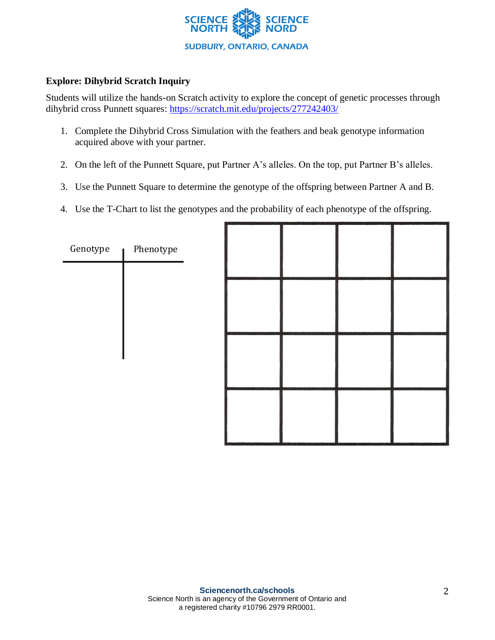

# **Explore: Dihybrid Scratch Inquiry**

Students will utilize the hands-on Scratch activity to explore the concept of genetic processes through dihybrid cross Punnett squares: https://scratch.mit.edu/projects/277242403/

- 1. Complete the Dihybrid Cross Simulation with the feathers and beak genotype information acquired above with your partner.
- 2. On the left of the Punnett Square, put Partner A's alleles. On the top, put Partner B's alleles.
- 3. Use the Punnett Square to determine the genotype of the offspring between Partner A and B.
- 4. Use the T-Chart to list the genotypes and the probability of each phenotype of the offspring.

| Genotype | Phenotype |  |  |  |
|----------|-----------|--|--|--|
|          |           |  |  |  |
|          |           |  |  |  |
|          |           |  |  |  |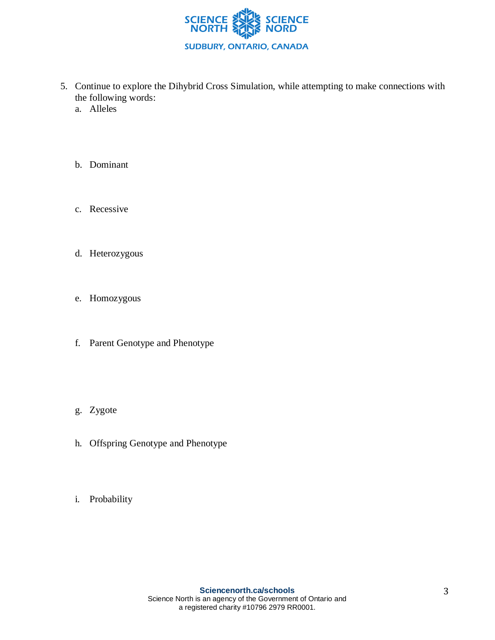

- 5. Continue to explore the Dihybrid Cross Simulation, while attempting to make connections with the following words:
	- a. Alleles
	- b. Dominant
	- c. Recessive
	- d. Heterozygous
	- e. Homozygous
	- f. Parent Genotype and Phenotype
	- g. Zygote
	- h. Offspring Genotype and Phenotype
	- i. Probability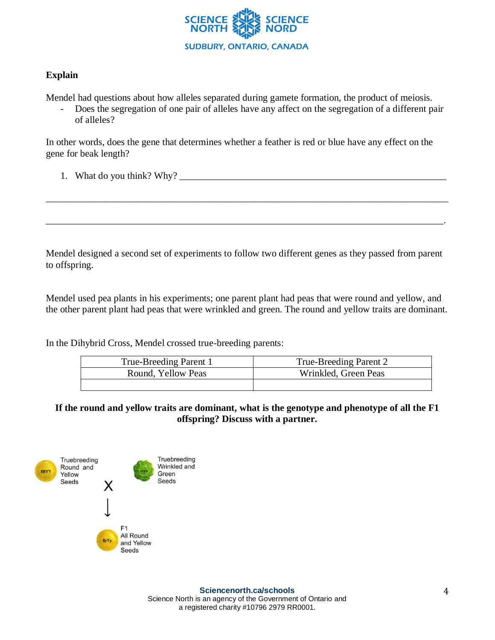

## **Explain**

Mendel had questions about how alleles separated during gamete formation, the product of meiosis.

- Does the segregation of one pair of alleles have any affect on the segregation of a different pair of alleles?

In other words, does the gene that determines whether a feather is red or blue have any effect on the gene for beak length?

1. What do you think? Why? \_\_\_\_\_\_\_\_\_\_\_\_\_\_\_\_\_\_\_\_\_\_\_\_\_\_\_\_\_\_\_\_\_\_\_\_\_\_\_\_\_\_\_\_\_\_\_\_\_\_\_\_\_\_\_

Mendel designed a second set of experiments to follow two different genes as they passed from parent to offspring.

\_\_\_\_\_\_\_\_\_\_\_\_\_\_\_\_\_\_\_\_\_\_\_\_\_\_\_\_\_\_\_\_\_\_\_\_\_\_\_\_\_\_\_\_\_\_\_\_\_\_\_\_\_\_\_\_\_\_\_\_\_\_\_\_\_\_\_\_\_\_\_\_\_\_\_\_\_\_\_\_\_\_\_

\_\_\_\_\_\_\_\_\_\_\_\_\_\_\_\_\_\_\_\_\_\_\_\_\_\_\_\_\_\_\_\_\_\_\_\_\_\_\_\_\_\_\_\_\_\_\_\_\_\_\_\_\_\_\_\_\_\_\_\_\_\_\_\_\_\_\_\_\_\_\_\_\_\_\_\_\_\_\_\_\_\_.

Mendel used pea plants in his experiments; one parent plant had peas that were round and yellow, and the other parent plant had peas that were wrinkled and green. The round and yellow traits are dominant.

In the Dihybrid Cross, Mendel crossed true-breeding parents:

| True-Breeding Parent 1 | True-Breeding Parent 2 |  |  |
|------------------------|------------------------|--|--|
| Round, Yellow Peas     | Wrinkled, Green Peas   |  |  |
|                        |                        |  |  |

**If the round and yellow traits are dominant, what is the genotype and phenotype of all the F1 offspring? Discuss with a partner.**

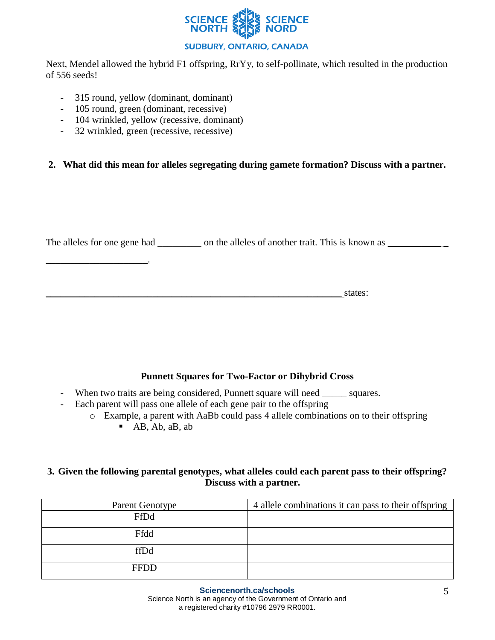

Next, Mendel allowed the hybrid F1 offspring, RrYy, to self-pollinate, which resulted in the production of 556 seeds!

- 315 round, yellow (dominant, dominant)
- 105 round, green (dominant, recessive)
- 104 wrinkled, yellow (recessive, dominant)
- 32 wrinkled, green (recessive, recessive)

\_\_\_\_\_\_\_\_\_\_\_\_\_\_\_\_\_\_\_\_\_.

#### **2. What did this mean for alleles segregating during gamete formation? Discuss with a partner.**

The alleles for one gene had \_\_\_\_\_\_\_\_\_ on the alleles of another trait. This is known as \_\_\_\_\_\_\_\_\_\_

 $\blacksquare$  states:

# **Punnett Squares for Two-Factor or Dihybrid Cross**

- When two traits are being considered, Punnett square will need \_\_\_\_\_\_ squares.
- Each parent will pass one allele of each gene pair to the offspring
	- o Example, a parent with AaBb could pass 4 allele combinations on to their offspring  $\blacksquare$  AB, Ab, aB, ab

#### **3. Given the following parental genotypes, what alleles could each parent pass to their offspring? Discuss with a partner.**

| Parent Genotype | 4 allele combinations it can pass to their offspring |
|-----------------|------------------------------------------------------|
| FfDd            |                                                      |
| Ffdd            |                                                      |
| ffDd            |                                                      |
| <b>FFDD</b>     |                                                      |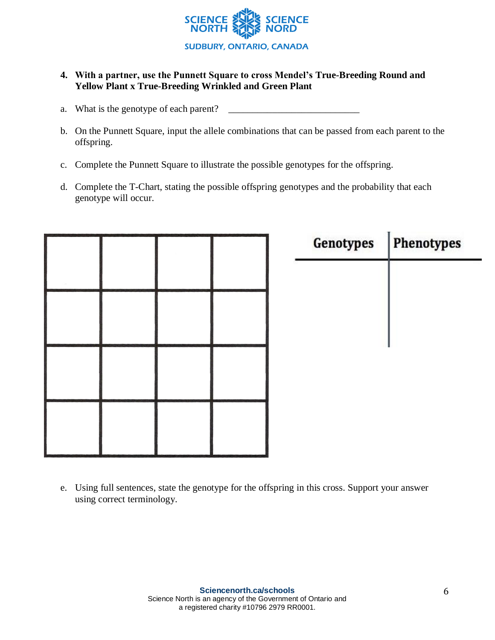

# **4. With a partner, use the Punnett Square to cross Mendel's True-Breeding Round and Yellow Plant x True-Breeding Wrinkled and Green Plant**

- a. What is the genotype of each parent? \_\_\_\_\_\_\_\_\_\_\_\_\_\_\_\_\_\_\_\_\_\_\_\_\_\_\_
- b. On the Punnett Square, input the allele combinations that can be passed from each parent to the offspring.
- c. Complete the Punnett Square to illustrate the possible genotypes for the offspring.
- d. Complete the T-Chart, stating the possible offspring genotypes and the probability that each genotype will occur.

|  |  | <b>Genotypes</b> | Phenotypes |
|--|--|------------------|------------|
|  |  |                  |            |
|  |  |                  |            |
|  |  |                  |            |
|  |  |                  |            |
|  |  |                  |            |
|  |  |                  |            |
|  |  |                  |            |

e. Using full sentences, state the genotype for the offspring in this cross. Support your answer using correct terminology.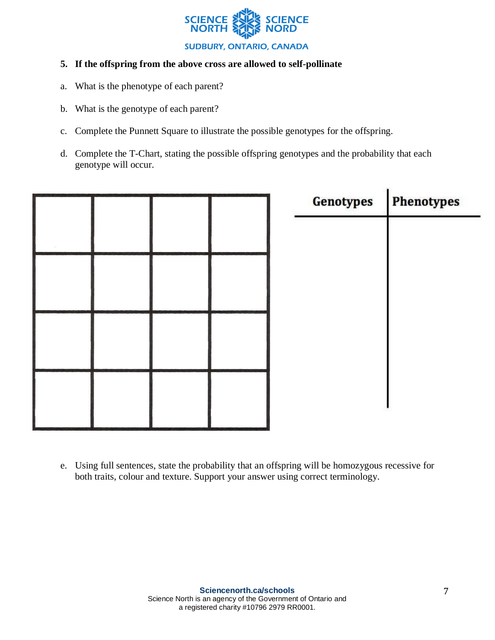

## **5. If the offspring from the above cross are allowed to self-pollinate**

- a. What is the phenotype of each parent?
- b. What is the genotype of each parent?
- c. Complete the Punnett Square to illustrate the possible genotypes for the offspring.
- d. Complete the T-Chart, stating the possible offspring genotypes and the probability that each genotype will occur.



e. Using full sentences, state the probability that an offspring will be homozygous recessive for both traits, colour and texture. Support your answer using correct terminology.